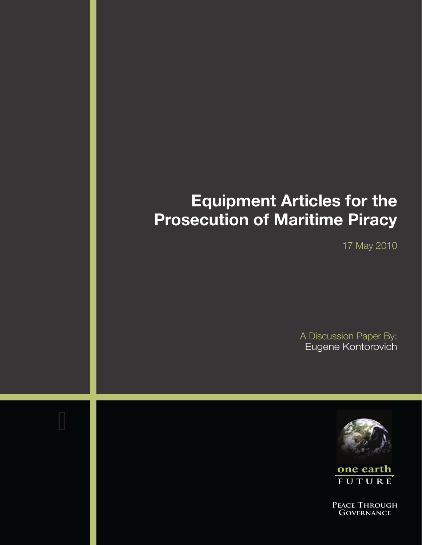# **Equipment Articles for the Prosecution of Maritime Piracy**

17 May 2010

A Discussion Paper By: Eugene Kontorovich



one earth **F u t u r e**

**Peace Through Governance**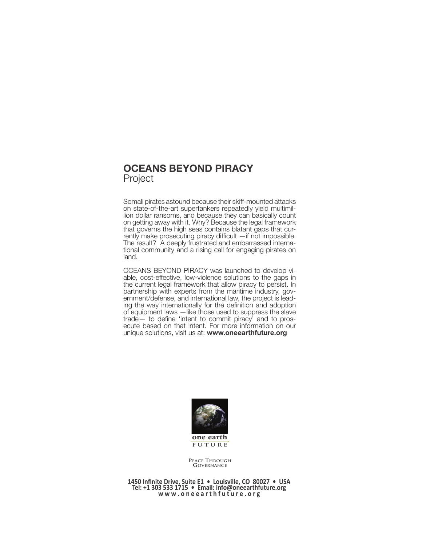# **Oceans Beyond Piracy** Project

Somali pirates astound because their skiff-mounted attacks on state-of-the-art supertankers repeatedly yield multimillion dollar ransoms, and because they can basically count on getting away with it. Why? Because the legal framework that governs the high seas contains blatant gaps that cur- rently make prosecuting piracy difficult —if not impossible. The result? A deeply frustrated and embarrassed international community and a rising call for engaging pirates on land.

OCEANS BEYOND PIRACY was launched to develop vi- able, cost-effective, low-violence solutions to the gaps in the current legal framework that allow piracy to persist. In partnership with experts from the maritime industry, government/defense, and international law, the project is leading the way internationally for the definition and adoption of equipment laws —like those used to suppress the slave trade— to define 'intent to commit piracy' and to pros- ecute based on that intent. For more information on our unique solutions, visit us at: **www.oneearthfuture.org**



**Peace Through Governance**

**1450 Infinite Drive, Suite E1 • Louisville, CO 80027 • USA Tel: +1 303 533 1715 • Email: info@oneearthfuture.org w w w . o n e e a r t h f u t u r e . o r g**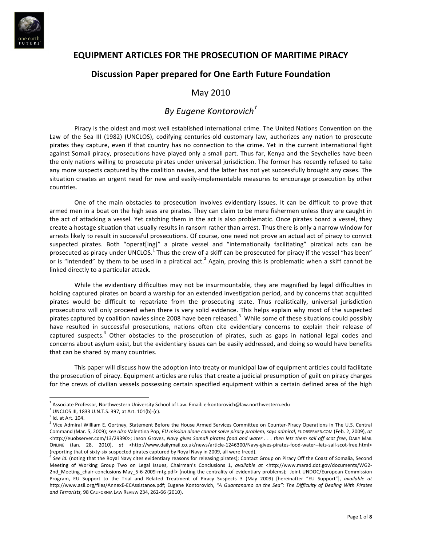

# **EQUIPMENT+ARTICLES+FOR+THE+PROSECUTION+OF+MARITIME+PIRACY**

## **Discussion+Paper+prepared+for+One+Earth+Future+Foundation**

### May 2010

# *By#Eugene#Kontorovich†*

Piracy is the oldest and most well established international crime. The United Nations Convention on the Law of the Sea III (1982) (UNCLOS), codifying centuries-old customary law, authorizes any nation to prosecute pirates they capture, even if that country has no connection to the crime. Yet in the current international fight against Somali piracy, prosecutions have played only a small part. Thus far, Kenya and the Seychelles have been the only nations willing to prosecute pirates under universal jurisdiction. The former has recently refused to take any more suspects captured by the coalition navies, and the latter has not yet successfully brought any cases. The situation creates an urgent need for new and easily-implementable measures to encourage prosecution by other countries.

One of the main obstacles to prosecution involves evidentiary issues. It can be difficult to prove that armed men in a boat on the high seas are pirates. They can claim to be mere fishermen unless they are caught in the act of attacking a vessel. Yet catching them in the act is also problematic. Once pirates board a vessel, they create a hostage situation that usually results in ransom rather than arrest. Thus there is only a narrow window for arrests likely to result in successful prosecutions. Of course, one need not prove an actual act of piracy to convict suspected pirates. Both "operat[ing]" a pirate vessel and "internationally facilitating" piratical acts can be prosecuted as piracy under UNCLOS.<sup>1</sup> Thus the crew of a skiff can be prosecuted for piracy if the vessel "has been" or is "intended" by them to be used in a piratical act.<sup>2</sup> Again, proving this is problematic when a skiff cannot be linked directly to a particular attack.

While the evidentiary difficulties may not be insurmountable, they are magnified by legal difficulties in holding captured pirates on board a warship for an extended investigation period, and by concerns that acquitted pirates would be difficult to repatriate from the prosecuting state. Thus realistically, universal jurisdiction prosecutions will only proceed when there is very solid evidence. This helps explain why most of the suspected pirates captured by coalition navies since 2008 have been released.<sup>3</sup> While some of these situations could possibly have resulted in successful prosecutions, nations often cite evidentiary concerns to explain their release of captured suspects.<sup>4</sup> Other obstacles to the prosecution of pirates, such as gaps in national legal codes and concerns about asylum exist, but the evidentiary issues can be easily addressed, and doing so would have benefits that can be shared by many countries.

This paper will discuss how the adoption into treaty or municipal law of equipment articles could facilitate the prosecution of piracy. Equipment articles are rules that create a judicial presumption of guilt on piracy charges for the crews of civilian vessels possessing certain specified equipment within a certain defined area of the high

<sup>†</sup> Associate Professor, Northwestern University School of Law. Email: e-kontorovich@law.northwestern.edu

 $^{\rm 1}$  UNCLOS III, 1833 U.N.T.S. 397, at Art. 101(b)-(c).

 $2$  Id. at Art. 104.

<sup>&</sup>lt;sup>3</sup> Vice Admiral William E. Gortney, Statement Before the House Armed Services Committee on Counter-Piracy Operations in The U.S. Central Command (Mar. 5, 2009); see also Valentina Pop, *EU mission alone cannot solve piracy problem, says admiral*, EUOBSERVER.COM (Feb. 2, 2009), at <http://euobserver.com/13/29390>; Jason Groves, *Navy gives Somali pirates food and water . . . then lets them sail off scot free*, DAILY MAIL ONLINE (Jan. 28, 2010), at <http://www.dailymail.co.uk/news/article-1246300/Navy-gives-pirates-food-water--lets-sail-scot-free.html> (reporting that of sixty-six suspected pirates captured by Royal Navy in 2009, all were freed).

See id. (noting that the Royal Navy cites evidentiary reasons for releasing pirates); Contact Group on Piracy Off the Coast of Somalia, Second Meeting of Working Group Two on Legal Issues, Chairman's Conclusions 1, *available at* <http://www.marad.dot.gov/documents/WG2-2nd\_Meeting\_chair-conclusions-May\_5-6-2009-mtg.pdf> (noting the centrality of evidentiary problems); Joint UNDOC/European Commission Program, EU Support to the Trial and Related Treatment of Piracy Suspects 3 (May 2009) [hereinafter "EU Support"], available at http://www.asil.org/files/AnnexE-ECAssistance.pdf; Eugene Kontorovich, "A Guantanamo on the Sea": The Difficulty of Dealing With Pirates *and Terrorists, 98 CALIFORNIA LAW REVIEW 234, 262-66 (2010).*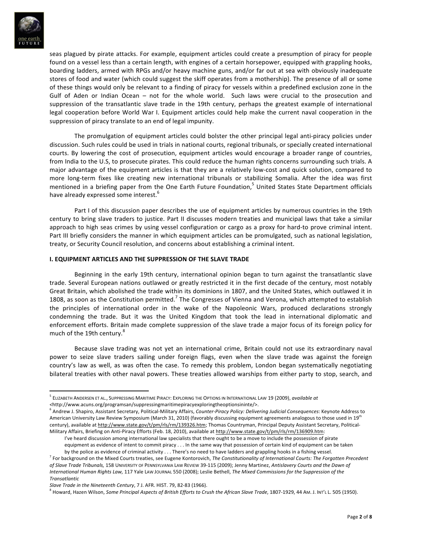

seas plagued by pirate attacks. For example, equipment articles could create a presumption of piracy for people found on a vessel less than a certain length, with engines of a certain horsepower, equipped with grappling hooks, boarding ladders, armed with RPGs and/or heavy machine guns, and/or far out at sea with obviously inadequate stores of food and water (which could suggest the skiff operates from a mothership). The presence of all or some of these things would only be relevant to a finding of piracy for vessels within a predefined exclusion zone in the Gulf of Aden or Indian Ocean – not for the whole world. Such laws were crucial to the prosecution and suppression of the transatlantic slave trade in the 19th century, perhaps the greatest example of international legal cooperation before World War I. Equipment articles could help make the current naval cooperation in the suppression of piracy translate to an end of legal impunity.

The promulgation of equipment articles could bolster the other principal legal anti-piracy policies under discussion. Such rules could be used in trials in national courts, regional tribunals, or specially created international courts. By lowering the cost of prosecution, equipment articles would encourage a broader range of countries, from India to the U.S, to prosecute pirates. This could reduce the human rights concerns surrounding such trials. A major advantage of the equipment articles is that they are a relatively low-cost and quick solution, compared to more long-term fixes like creating new international tribunals or stabilizing Somalia. After the idea was first mentioned in a briefing paper from the One Earth Future Foundation,<sup>5</sup> United States State Department officials have already expressed some interest.<sup>6</sup>

Part I of this discussion paper describes the use of equipment articles by numerous countries in the 19th century to bring slave traders to justice. Part II discusses modern treaties and municipal laws that take a similar approach to high seas crimes by using vessel configuration or cargo as a proxy for hard-to prove criminal intent. Part III briefly considers the manner in which equipment articles can be promulgated, such as national legislation, treaty, or Security Council resolution, and concerns about establishing a criminal intent.

#### **I. EQUIPMENT ARTICLES AND THE SUPPRESSION OF THE SLAVE TRADE**

Beginning in the early 19th century, international opinion began to turn against the transatlantic slave trade. Several European nations outlawed or greatly restricted it in the first decade of the century, most notably Great Britain, which abolished the trade within its dominions in 1807, and the United States, which outlawed it in 1808, as soon as the Constitution permitted.<sup>7</sup> The Congresses of Vienna and Verona, which attempted to establish the principles of international order in the wake of the Napoleonic Wars, produced declarations strongly condemning the trade. But it was the United Kingdom that took the lead in international diplomatic and enforcement efforts. Britain made complete suppression of the slave trade a major focus of its foreign policy for much of the 19th century.<sup>8</sup>

Because slave trading was not yet an international crime, Britain could not use its extraordinary naval power to seize slave traders sailing under foreign flags, even when the slave trade was against the foreign country's law as well, as was often the case. To remedy this problem, London began systematically negotiating bilateral treaties with other naval powers. These treaties allowed warships from either party to stop, search, and

*<*http://www.acuns.org/programsan/suppressingmaritimepiracyexploringtheoptionsininte/>.

<sup>&</sup>lt;sup>5</sup> ELIZABETH ANDERSEN ET AL., SUPPRESSING MARITIME PIRACY: EXPLORING THE OPTIONS IN INTERNATIONAL LAW 19 (2009), *available at* 

<sup>&</sup>lt;sup>6</sup> Andrew J. Shapiro, Assistant Secretary, Political-Military Affairs, *Counter-Piracy Policy: Delivering Judicial Consequences*: Keynote Address to American University Law Review Symposium (March 31, 2010) (favorably discussing equipment agreements analogous to those used in 19<sup>th</sup> century), available at http://www.state.gov/t/pm/rls/rm/139326.htm; Thomas Countryman, Principal Deputy Assistant Secretary, Political-Military Affairs, Briefing on Anti-Piracy Efforts (Feb. 18, 2010), available at http://www.state.gov/t/pm/rls/rm/136909.htm:

I've heard discussion among international law specialists that there ought to be a move to include the possession of pirate equipment as evidence of intent to commit piracy . . . In the same way that possession of certain kind of equipment can be taken by the police as evidence of criminal activity . . . There's no need to have ladders and grappling hooks in a fishing vessel.

<sup>&</sup>lt;sup>7</sup> For background on the Mixed Courts treaties, see Eugene Kontorovich, The Constitutionality of International Courts: The Forgotten Precedent of Slave Trade Tribunals, 158 UNIVERSITY OF PENNSYLVANIA LAW REVIEW 39-115 (2009); Jenny Martinez, Antislavery Courts and the Dawn of *International Human Rights Law, 117 Yale LAw JOURNAL 550 (2008); Leslie Bethell, The Mixed Commissions for the Suppression of the Transatlantic*

*Slave Trade in the Nineteenth Century*, 7 J. AFR. HIST. 79, 82-83 (1966).

<sup>&</sup>lt;sup>8</sup> Howard, Hazen Wilson, *Some Principal Aspects of British Efforts to Crush the African Slave Trade,* 1807-1929, 44 AM. J. InT'L L. 505 (1950).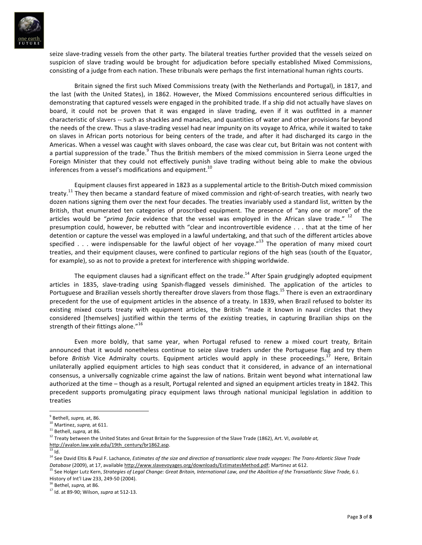

seize slave-trading vessels from the other party. The bilateral treaties further provided that the vessels seized on suspicion of slave trading would be brought for adjudication before specially established Mixed Commissions, consisting of a judge from each nation. These tribunals were perhaps the first international human rights courts.

Britain signed the first such Mixed Commissions treaty (with the Netherlands and Portugal), in 1817, and the last (with the United States), in 1862. However, the Mixed Commissions encountered serious difficulties in demonstrating that captured vessels were engaged in the prohibited trade. If a ship did not actually have slaves on board, it could not be proven that it was engaged in slave trading, even if it was outfitted in a manner characteristic of slavers -- such as shackles and manacles, and quantities of water and other provisions far beyond the needs of the crew. Thus a slave-trading vessel had near impunity on its voyage to Africa, while it waited to take on slaves in African ports notorious for being centers of the trade, and after it had discharged its cargo in the Americas. When a vessel was caught with slaves onboard, the case was clear cut, but Britain was not content with a partial suppression of the trade.<sup>9</sup> Thus the British members of the mixed commission in Sierra Leone urged the Foreign Minister that they could not effectively punish slave trading without being able to make the obvious inferences from a vessel's modifications and equipment.<sup>10</sup>

Equipment clauses first appeared in 1823 as a supplemental article to the British-Dutch mixed commission treaty.<sup>11</sup> They then became a standard feature of mixed commission and right-of-search treaties, with nearly two dozen nations signing them over the next four decades. The treaties invariably used a standard list, written by the British, that enumerated ten categories of proscribed equipment. The presence of "any one or more" of the articles would be "*prima facie* evidence that the vessel was employed in the African slave trade." <sup>12</sup> The presumption could, however, be rebutted with "clear and incontrovertible evidence . . . that at the time of her detention or capture the vessel was employed in a lawful undertaking, and that such of the different articles above specified . . . were indispensable for the lawful object of her voyage."<sup>13</sup> The operation of many mixed court treaties, and their equipment clauses, were confined to particular regions of the high seas (south of the Equator, for example), so as not to provide a pretext for interference with shipping worldwide.

The equipment clauses had a significant effect on the trade.<sup>14</sup> After Spain grudgingly adopted equipment articles in 1835, slave-trading using Spanish-flagged vessels diminished. The application of the articles to Portuguese and Brazilian vessels shortly thereafter drove slavers from those flags.<sup>15</sup> There is even an extraordinary precedent for the use of equipment articles in the absence of a treaty. In 1839, when Brazil refused to bolster its existing mixed courts treaty with equipment articles, the British "made it known in naval circles that they considered [themselves] justified within the terms of the *existing* treaties, in capturing Brazilian ships on the strength of their fittings alone." $16$ 

Even more boldly, that same year, when Portugal refused to renew a mixed court treaty, Britain announced that it would nonetheless continue to seize slave traders under the Portuguese flag and try them before *British* Vice Admiralty courts. Equipment articles would apply in these proceedings.<sup>17</sup> Here, Britain unilaterally applied equipment articles to high seas conduct that it considered, in advance of an international consensus, a universally cognizable crime against the law of nations. Britain went beyond what international law authorized at the time – though as a result, Portugal relented and signed an equipment articles treaty in 1842. This precedent supports promulgating piracy equipment laws through national municipal legislation in addition to treaties

<sup>16</sup> Bethel, *supra*, at 86.

<sup>&</sup>lt;sup>9</sup> Bethell, *supra*, at, 86.

<sup>&</sup>lt;sup>10</sup> Martinez, *supra*, at 611.

<sup>&</sup>lt;sup>11</sup> Bethell, *supra*, at 86.

<sup>&</sup>lt;sup>12</sup> Treaty between the United States and Great Britain for the Suppression of the Slave Trade (1862), Art. VI, *available at,* http://avalon.law.yale.edu/19th\_century/br1862.asp.

 $^{13}$  Id.

<sup>&</sup>lt;sup>14</sup> See David Eltis & Paul F. Lachance, *Estimates of the size and direction of transatlantic slave trade voyages: The Trans-Atlantic Slave Trade* Database (2009), at 17, available http://www.slavevoyages.org/downloads/EstimatesMethod.pdf; Martinez at 612.

<sup>.&</sup>lt;br>See Holger Lutz Kern, *Strategies of Legal Change: Great Britain, International Law, and the Abolition of the Transatlantic Slave Trade, 6 J.* History of Int'l Law 233, 249-50 (2004).

<sup>&</sup>lt;sup>17</sup> Id. at 89-90; Wilson, *supra* at 512-13.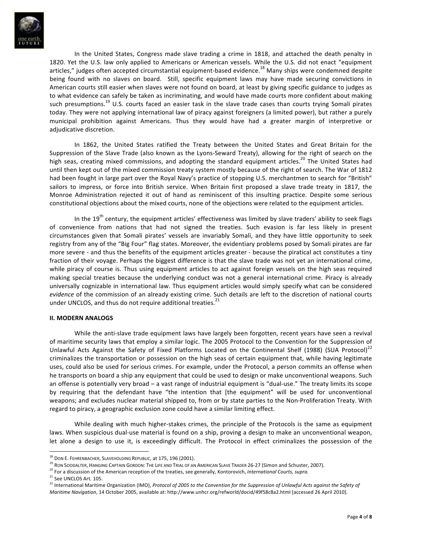

In the United States, Congress made slave trading a crime in 1818, and attached the death penalty in 1820. Yet the U.S. law only applied to Americans or American vessels. While the U.S. did not enact "equipment articles," judges often accepted circumstantial equipment-based evidence.<sup>18</sup> Many ships were condemned despite being found with no slaves on board. Still, specific equipment laws may have made securing convictions in American courts still easier when slaves were not found on board, at least by giving specific guidance to judges as to what evidence can safely be taken as incriminating, and would have made courts more confident about making such presumptions.<sup>19</sup> U.S. courts faced an easier task in the slave trade cases than courts trying Somali pirates today. They were not applying international law of piracy against foreigners (a limited power), but rather a purely municipal prohibition against Americans. Thus they would have had a greater margin of interpretive or adjudicative discretion.

In 1862, the United States ratified the Treaty between the United States and Great Britain for the Suppression of the Slave Trade (also known as the Lyons-Seward Treaty), allowing for the right of search on the high seas, creating mixed commissions, and adopting the standard equipment articles.<sup>20</sup> The United States had until then kept out of the mixed commission treaty system mostly because of the right of search. The War of 1812 had been fought in large part over the Royal Navy's practice of stopping U.S. merchantmen to search for "British" sailors to impress, or force into British service. When Britain first proposed a slave trade treaty in 1817, the Monroe Administration rejected it out of hand as reminiscent of this insulting practice. Despite some serious constitutional objections about the mixed courts, none of the objections were related to the equipment articles.

In the 19<sup>th</sup> century, the equipment articles' effectiveness was limited by slave traders' ability to seek flags of convenience from nations that had not signed the treaties. Such evasion is far less likely in present circumstances given that Somali pirates' vessels are invariably Somali, and they have little opportunity to seek registry from any of the "Big Four" flag states. Moreover, the evidentiary problems posed by Somali pirates are far more severe - and thus the benefits of the equipment articles greater - because the piratical act constitutes a tiny fraction of their voyage. Perhaps the biggest difference is that the slave trade was not yet an international crime, while piracy of course is. Thus using equipment articles to act against foreign vessels on the high seas required making special treaties because the underlying conduct was not a general international crime. Piracy is already universally cognizable in international law. Thus equipment articles would simply specify what can be considered *evidence* of the commission of an already existing crime. Such details are left to the discretion of national courts under UNCLOS, and thus do not require additional treaties.<sup>21</sup>

#### **II. MODERN ANALOGS**

While the anti-slave trade equipment laws have largely been forgotten, recent years have seen a revival of maritime security laws that employ a similar logic. The 2005 Protocol to the Convention for the Suppression of Unlawful Acts Against the Safety of Fixed Platforms Located on the Continental Shelf (1988) (SUA Protocol)<sup>22</sup> criminalizes the transportation or possession on the high seas of certain equipment that, while having legitimate uses, could also be used for serious crimes. For example, under the Protocol, a person commits an offense when he transports on board a ship any equipment that could be used to design or make unconventional weapons. Such an offense is potentially very broad – a vast range of industrial equipment is "dual-use." The treaty limits its scope by requiring that the defendant have "the intention that [the equipment" will be used for unconventional weapons; and excludes nuclear material shipped to, from or by state parties to the Non-Proliferation Treaty. With regard to piracy, a geographic exclusion zone could have a similar limiting effect.

While dealing with much higher-stakes crimes, the principle of the Protocols is the same as equipment laws. When suspicious dual-use material is found on a ship, proving a design to make an unconventional weapon, let alone a design to use it, is exceedingly difficult. The Protocol in effect criminalizes the possession of the

 $^{18}$  Don E. Fehrenbacher, Slaveholding Republic, at 175, 196 (2001).

 $^{19}$  RON SOODALTER, HANGING CAPTAIN GORDON: THE LIFE AND TRIAL OF AN AMERICAN SLAVE TRADER 26-27 (Simon and Schuster, 2007).

<sup>&</sup>lt;sup>20</sup> For a discussion of the American reception of the treaties, see generally, Kontorovich, International Courts, supra.

 $21$  See UNCLOS Art. 105.

<sup>&</sup>lt;sup>22</sup> International Maritime Organization (IMO), *Protocol of 2005 to the Convention for the Suppression of Unlawful Acts against the Safety of Maritime Navigation*, 14 October 2005, available at: http://www.unhcr.org/refworld/docid/49f58c8a2.html [accessed 26 April 2010].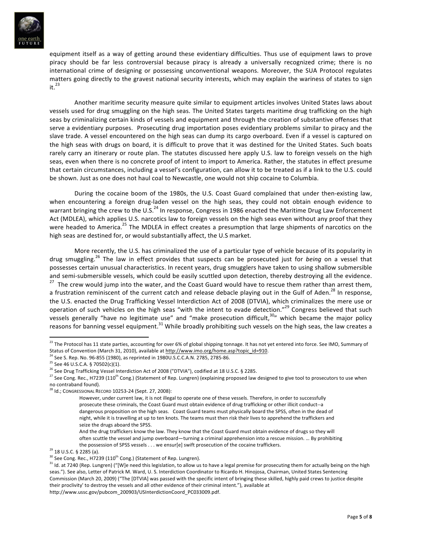

equipment itself as a way of getting around these evidentiary difficulties. Thus use of equipment laws to prove piracy should be far less controversial because piracy is already a universally recognized crime; there is no international crime of designing or possessing unconventional weapons. Moreover, the SUA Protocol regulates matters going directly to the gravest national security interests, which may explain the wariness of states to sign  $it.<sup>23</sup>$ 

Another maritime security measure quite similar to equipment articles involves United States laws about vessels used for drug smuggling on the high seas. The United States targets maritime drug trafficking on the high seas by criminalizing certain kinds of vessels and equipment and through the creation of substantive offenses that serve a evidentiary purposes. Prosecuting drug importation poses evidentiary problems similar to piracy and the slave trade. A vessel encountered on the high seas can dump its cargo overboard. Even if a vessel is captured on the high seas with drugs on board, it is difficult to prove that it was destined for the United States. Such boats rarely carry an itinerary or route plan. The statutes discussed here apply U.S. law to foreign vessels on the high seas, even when there is no concrete proof of intent to import to America. Rather, the statutes in effect presume that certain circumstances, including a vessel's configuration, can allow it to be treated as if a link to the U.S. could be shown. Just as one does not haul coal to Newcastle, one would not ship cocaine to Columbia.

During the cocaine boom of the 1980s, the U.S. Coast Guard complained that under then-existing law, when encountering a foreign drug-laden vessel on the high seas, they could not obtain enough evidence to warrant bringing the crew to the U.S.<sup>24</sup> In response, Congress in 1986 enacted the Maritime Drug Law Enforcement Act (MDLEA), which applies U.S. narcotics law to foreign vessels on the high seas even without any proof that they were headed to America.<sup>25</sup> The MDLEA in effect creates a presumption that large shipments of narcotics on the high seas are destined for, or would substantially affect, the U.S market.

More recently, the U.S. has criminalized the use of a particular type of vehicle because of its popularity in drug smuggling.<sup>26</sup> The law in effect provides that suspects can be prosecuted just for *being* on a vessel that possesses certain unusual characteristics. In recent years, drug smugglers have taken to using shallow submersible and semi-submersible vessels, which could be easily scuttled upon detection, thereby destroying all the evidence.<br><sup>27</sup> The crew would jump into the water, and the Coast Guard would have to rescue them rather than arrest th a frustration reminiscent of the current catch and release debacle playing out in the Gulf of Aden.<sup>28</sup> In response, the U.S. enacted the Drug Trafficking Vessel Interdiction Act of 2008 (DTVIA), which criminalizes the mere use or operation of such vehicles on the high seas "with the intent to evade detection."<sup>29</sup> Congress believed that such vessels generally "have no legitimate use" and "make prosecution difficult, $30$ " which became the major policy reasons for banning vessel equipment.<sup>31</sup> While broadly prohibiting such vessels on the high seas, the law creates a

<sup>&</sup>lt;sup>23</sup> The Protocol has 11 state parties, accounting for over 6% of global shipping tonnage. It has not yet entered into force. See IMO, Summary of Status of Convention (March 31, 2010), available at http://www.imo.org/home.asp?topic\_id=910.

<sup>26</sup> See S. Rep. No. 96-855 (1980), as reprinted in 1980U.S.C.C.A.N. 2785, 2785-86.

 $25$  See 46 U.S.C.A. § 70502(c)(1).

<sup>&</sup>lt;sup>26</sup> See Drug Trafficking Vessel Interdiction Act of 2008 ("DTVIA"), codified at 18 U.S.C. § 2285.

<sup>&</sup>lt;sup>27</sup> See Cong. Rec., H7239 (110<sup>th</sup> Cong.) (Statement of Rep. Lungren) (explaining proposed law designed to give tool to prosecutors to use when no contraband found).

 $^{28}$  Id.; Congressional Record 10253-24 (Sept. 27, 2008):

However, under current law, it is not illegal to operate one of these vessels. Therefore, in order to successfully prosecute these criminals, the Coast Guard must obtain evidence of drug trafficking or other illicit conduct--a dangerous proposition on the high seas. Coast Guard teams must physically board the SPSS, often in the dead of night, while it is travelling at up to ten knots. The teams must then risk their lives to apprehend the traffickers and seize the drugs aboard the SPSS.

And the drug traffickers know the law. They know that the Coast Guard must obtain evidence of drugs so they will often scuttle the vessel and jump overboard—turning a criminal apprehension into a rescue mission. ... By prohibiting the possession of SPSS vessels . . . we ensur[e] swift prosecution of the cocaine traffickers.

<sup>&</sup>lt;sup>29</sup> 18 U.S.C. § 2285 (a).

 $30$  See Cong. Rec., H7239 (110<sup>th</sup> Cong.) (Statement of Rep. Lungren).

<sup>&</sup>lt;sup>31</sup> Id. at 7240 (Rep. Lungren) ("[W]e need this legislation, to allow us to have a legal premise for prosecuting them for actually being on the high seas."). See also, Letter of Patrick M. Ward, U. S. Interdiction Coordinator to Ricardo H. Hinojosa, Chairman, United States Sentencing Commission (March 20, 2009) ("The [DTVIA] was passed with the specific intent of bringing these skilled, highly paid crews to justice despite their proclivity' to destroy the vessels and all other evidence of their criminal intent."), available at http://www.ussc.gov/pubcom\_200903/USInterdictionCoord\_PC033009.pdf.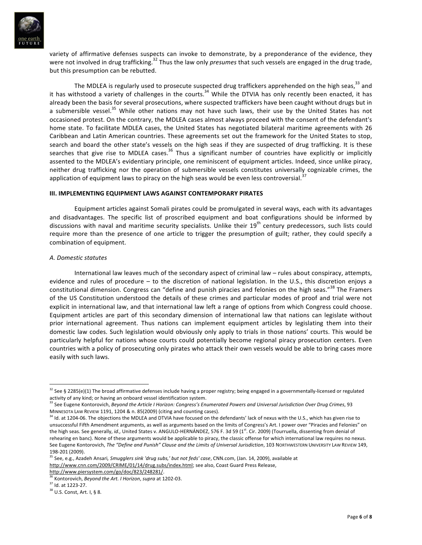

variety of affirmative defenses suspects can invoke to demonstrate, by a preponderance of the evidence, they were not involved in drug trafficking.<sup>32</sup> Thus the law only *presumes* that such vessels are engaged in the drug trade, but this presumption can be rebutted.

The MDLEA is regularly used to prosecute suspected drug traffickers apprehended on the high seas,<sup>33</sup> and it has withstood a variety of challenges in the courts.<sup>34</sup> While the DTVIA has only recently been enacted, it has already been the basis for several prosecutions, where suspected traffickers have been caught without drugs but in a submersible vessel.<sup>35</sup> While other nations may not have such laws, their use by the United States has not occasioned protest. On the contrary, the MDLEA cases almost always proceed with the consent of the defendant's home state. To facilitate MDLEA cases, the United States has negotiated bilateral maritime agreements with 26 Caribbean and Latin American countries. These agreements set out the framework for the United States to stop, search and board the other state's vessels on the high seas if they are suspected of drug trafficking. It is these searches that give rise to MDLEA cases.<sup>36</sup> Thus a significant number of countries have explicitly or implicitly assented to the MDLEA's evidentiary principle, one reminiscent of equipment articles. Indeed, since unlike piracy, neither drug trafficking nor the operation of submersible vessels constitutes universally cognizable crimes, the application of equipment laws to piracy on the high seas would be even less controversial.<sup>3</sup>

#### **III. IMPLEMENTING EQUIPMENT LAWS AGAINST CONTEMPORARY PIRATES**

Equipment articles against Somali pirates could be promulgated in several ways, each with its advantages and disadvantages. The specific list of proscribed equipment and boat configurations should be informed by discussions with naval and maritime security specialists. Unlike their 19<sup>th</sup> century predecessors, such lists could require more than the presence of one article to trigger the presumption of guilt; rather, they could specify a combination of equipment.

#### *A.#Domestic#statutes*

International law leaves much of the secondary aspect of criminal law – rules about conspiracy, attempts, evidence and rules of procedure – to the discretion of national legislation. In the U.S., this discretion enjoys a constitutional dimension. Congress can "define and punish piracies and felonies on the high seas."<sup>38</sup> The Framers of the US Constitution understood the details of these crimes and particular modes of proof and trial were not explicit in international law, and that international law left a range of options from which Congress could choose. Equipment articles are part of this secondary dimension of international law that nations can legislate without prior international agreement. Thus nations can implement equipment articles by legislating them into their domestic law codes. Such legislation would obviously only apply to trials in those nations' courts. This would be particularly helpful for nations whose courts could potentially become regional piracy prosecution centers. Even countries with a policy of prosecuting only pirates who attack their own vessels would be able to bring cases more easily with such laws.

http://www.piersystem.com/go/doc/823/248281/.

 $32$  See § 2285(e)(1) The broad affirmative defenses include having a proper registry; being engaged in a governmentally-licensed or regulated

activity of any kind; or having an onboard vessel identification system.<br><sup>33</sup> See Eugene Kontorovich, *Beyond the Article I Horizon: Congress's Enumerated Powers and Universal Jurisdiction Over Drug Crimes, 93* MINNESOTA LAW REVIEW 1191, 1204 & n. 85(2009) (citing and counting cases).

<sup>&</sup>lt;sup>34</sup> Id. at 1204-06. The objections the MDLEA and DTVIA have focused on the defendants' lack of nexus with the U.S., which has given rise to unsuccessful Fifth Amendment arguments, as well as arguments based on the limits of Congress's Art. I power over "Piracies and Felonies" on the high seas. See generally, *id.*, United States v. ANGULO-HERNÁNDEZ, 576 F. 3d 59 (1<sup>st</sup>. Cir. 2009) (Tourruella, dissenting from denial of rehearing en banc). None of these arguments would be applicable to piracy, the classic offense for which international law requires no nexus. See Eugene Kontorovich, The "Define and Punish" Clause and the Limits of Universal Jurisdiction, 103 NORTHWESTERN UNIVERSITY LAW REVIEW 149, 198-201 (2009).

<sup>&</sup>lt;sup>35</sup> See, e.g., Azadeh Ansari, Smugglers sink 'drug subs,' but not feds' case, CNN.com, (Jan. 14, 2009), available at http://www.cnn.com/2009/CRIME/01/14/drug.subs/index.html; see also, Coast Guard Press Release,

Kontorovich, *Beyond the Art. I Horizon*, *supra* at 1202-03.

 $37$  Id. at 1223-27.

<sup>38</sup> U.S. Const, Art. I, § 8.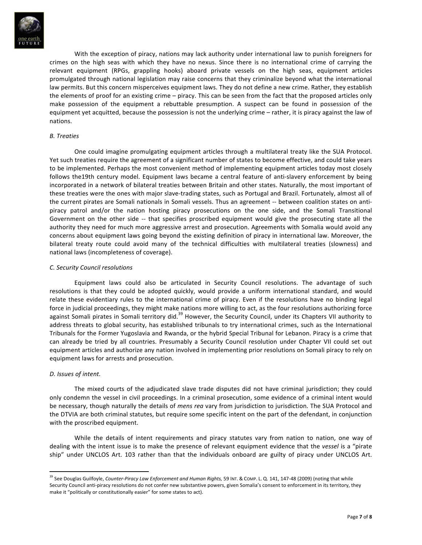

With the exception of piracy, nations may lack authority under international law to punish foreigners for crimes on the high seas with which they have no nexus. Since there is no international crime of carrying the relevant equipment (RPGs, grappling hooks) aboard private vessels on the high seas, equipment articles promulgated through national legislation may raise concerns that they criminalize beyond what the international law permits. But this concern misperceives equipment laws. They do not define a new crime. Rather, they establish the elements of proof for an existing crime – piracy. This can be seen from the fact that the proposed articles only make possession of the equipment a rebuttable presumption. A suspect can be found in possession of the equipment yet acquitted, because the possession is not the underlying crime – rather, it is piracy against the law of nations.

#### *B.#Treaties*

One could imagine promulgating equipment articles through a multilateral treaty like the SUA Protocol. Yet such treaties require the agreement of a significant number of states to become effective, and could take years to be implemented. Perhaps the most convenient method of implementing equipment articles today most closely follows the19th century model. Equipment laws became a central feature of anti-slavery enforcement by being incorporated in a network of bilateral treaties between Britain and other states. Naturally, the most important of these treaties were the ones with major slave-trading states, such as Portugal and Brazil. Fortunately, almost all of the current pirates are Somali nationals in Somali vessels. Thus an agreement -- between coalition states on antipiracy patrol and/or the nation hosting piracy prosecutions on the one side, and the Somali Transitional Government on the other side -- that specifies proscribed equipment would give the prosecuting state all the authority they need for much more aggressive arrest and prosecution. Agreements with Somalia would avoid any concerns about equipment laws going beyond the existing definition of piracy in international law. Moreover, the bilateral treaty route could avoid many of the technical difficulties with multilateral treaties (slowness) and national laws (incompleteness of coverage).

#### *C.#Security#Council#resolutions*

Equipment laws could also be articulated in Security Council resolutions. The advantage of such resolutions is that they could be adopted quickly, would provide a uniform international standard, and would relate these evidentiary rules to the international crime of piracy. Even if the resolutions have no binding legal force in judicial proceedings, they might make nations more willing to act, as the four resolutions authorizing force against Somali pirates in Somali territory did.<sup>39</sup> However, the Security Council, under its Chapters VII authority to address threats to global security, has established tribunals to try international crimes, such as the International Tribunals for the Former Yugoslavia and Rwanda, or the hybrid Special Tribunal for Lebanon. Piracy is a crime that can already be tried by all countries. Presumably a Security Council resolution under Chapter VII could set out equipment articles and authorize any nation involved in implementing prior resolutions on Somali piracy to rely on equipment laws for arrests and prosecution.

#### *D. Issues of intent.*

!!!!!!!!!!!!!!!!!!!!!!!!!!!!!!!!!!!!!!!!!!!!!!!!!!!!!!!!!!!!

The mixed courts of the adjudicated slave trade disputes did not have criminal jurisdiction; they could only condemn the vessel in civil proceedings. In a criminal prosecution, some evidence of a criminal intent would be necessary, though naturally the details of *mens rea* vary from jurisdiction to jurisdiction. The SUA Protocol and the DTVIA are both criminal statutes, but require some specific intent on the part of the defendant, in conjunction with the proscribed equipment.

While the details of intent requirements and piracy statutes vary from nation to nation, one way of dealing with the intent issue is to make the presence of relevant equipment evidence that the *vessel* is a "pirate ship" under UNCLOS Art. 103 rather than that the individuals onboard are guilty of piracy under UNCLOS Art.

<sup>&</sup>lt;sup>39</sup> See Douglas Guilfoyle, *Counter-Piracy Law Enforcement and Human Rights,* 59 INT. & COMP. L. Q. 141, 147-48 (2009) (noting that while Security Council anti-piracy resolutions do not confer new substantive powers, given Somalia's consent to enforcement in its territory, they make it "politically or constitutionally easier" for some states to act).